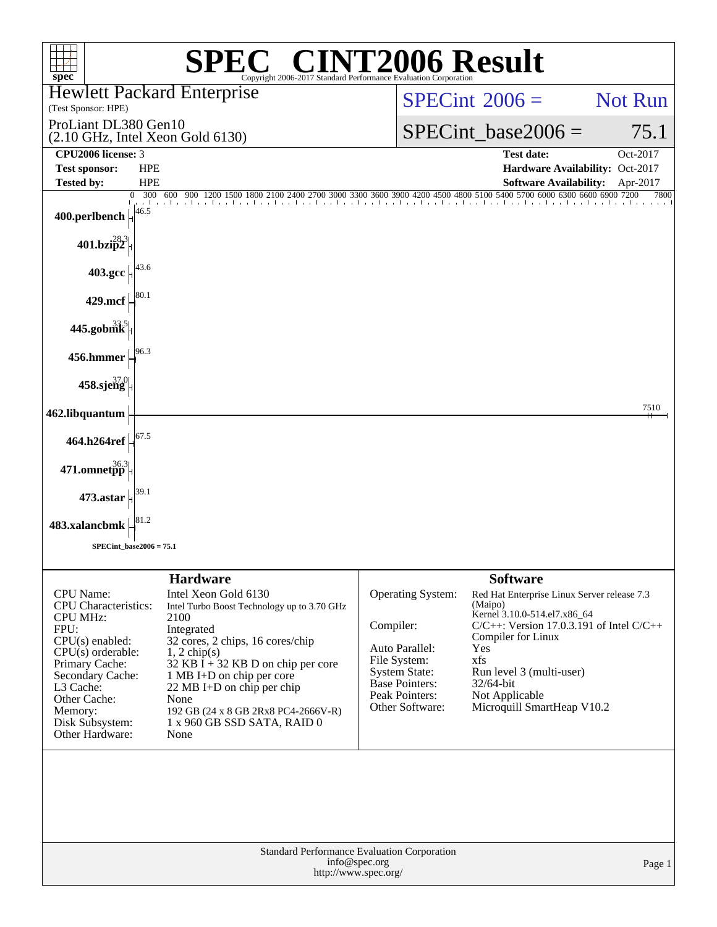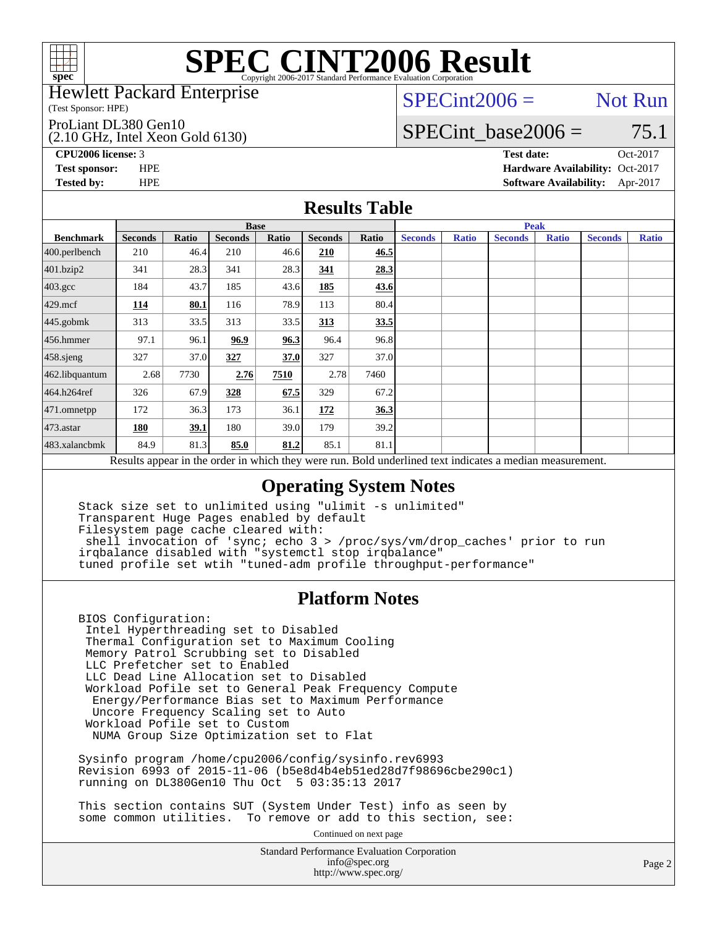

#### Hewlett Packard Enterprise

(Test Sponsor: HPE)

ProLiant DL380 Gen10

(2.10 GHz, Intel Xeon Gold 6130)

 $SPECint2006 =$  Not Run

### SPECint base2006 =  $75.1$

**[CPU2006 license:](http://www.spec.org/auto/cpu2006/Docs/result-fields.html#CPU2006license)** 3 **[Test date:](http://www.spec.org/auto/cpu2006/Docs/result-fields.html#Testdate)** Oct-2017

**[Test sponsor:](http://www.spec.org/auto/cpu2006/Docs/result-fields.html#Testsponsor)** HPE **[Hardware Availability:](http://www.spec.org/auto/cpu2006/Docs/result-fields.html#HardwareAvailability)** Oct-2017 **[Tested by:](http://www.spec.org/auto/cpu2006/Docs/result-fields.html#Testedby)** HPE **[Software Availability:](http://www.spec.org/auto/cpu2006/Docs/result-fields.html#SoftwareAvailability)** Apr-2017

### **[Results Table](http://www.spec.org/auto/cpu2006/Docs/result-fields.html#ResultsTable)**

|                                                                                                          | <b>Base</b>    |       |                |       |                |       | <b>Peak</b>    |              |                |              |                |              |
|----------------------------------------------------------------------------------------------------------|----------------|-------|----------------|-------|----------------|-------|----------------|--------------|----------------|--------------|----------------|--------------|
| <b>Benchmark</b>                                                                                         | <b>Seconds</b> | Ratio | <b>Seconds</b> | Ratio | <b>Seconds</b> | Ratio | <b>Seconds</b> | <b>Ratio</b> | <b>Seconds</b> | <b>Ratio</b> | <b>Seconds</b> | <b>Ratio</b> |
| $400.$ perlbench                                                                                         | 210            | 46.4  | 210            | 46.6  | 210            | 46.5  |                |              |                |              |                |              |
| 401.bzip2                                                                                                | 341            | 28.3  | 341            | 28.3  | 341            | 28.3  |                |              |                |              |                |              |
| $403.\mathrm{gcc}$                                                                                       | 184            | 43.7  | 185            | 43.6  | 185            | 43.6  |                |              |                |              |                |              |
| $429$ .mcf                                                                                               | 114            | 80.1  | 116            | 78.9  | 113            | 80.4  |                |              |                |              |                |              |
| $445$ .gobmk                                                                                             | 313            | 33.5  | 313            | 33.5  | 313            | 33.5  |                |              |                |              |                |              |
| 456.hmmer                                                                                                | 97.1           | 96.1  | 96.9           | 96.3  | 96.4           | 96.8  |                |              |                |              |                |              |
| $458$ .sjeng                                                                                             | 327            | 37.0  | 327            | 37.0  | 327            | 37.0  |                |              |                |              |                |              |
| 462.libquantum                                                                                           | 2.68           | 7730  | 2.76           | 7510  | 2.78           | 7460  |                |              |                |              |                |              |
| 464.h264ref                                                                                              | 326            | 67.9  | 328            | 67.5  | 329            | 67.2  |                |              |                |              |                |              |
| 471.omnetpp                                                                                              | 172            | 36.3  | 173            | 36.1  | 172            | 36.3  |                |              |                |              |                |              |
| $473$ . astar                                                                                            | 180            | 39.1  | 180            | 39.0  | 179            | 39.2  |                |              |                |              |                |              |
| 483.xalancbmk                                                                                            | 84.9           | 81.3  | 85.0           | 81.2  | 85.1           | 81.1  |                |              |                |              |                |              |
| Results appear in the order in which they were run. Bold underlined text indicates a median measurement. |                |       |                |       |                |       |                |              |                |              |                |              |

### **[Operating System Notes](http://www.spec.org/auto/cpu2006/Docs/result-fields.html#OperatingSystemNotes)**

 Stack size set to unlimited using "ulimit -s unlimited" Transparent Huge Pages enabled by default Filesystem page cache cleared with: shell invocation of 'sync; echo 3 > /proc/sys/vm/drop\_caches' prior to run irqbalance disabled with "systemctl stop irqbalance" tuned profile set wtih "tuned-adm profile throughput-performance"

### **[Platform Notes](http://www.spec.org/auto/cpu2006/Docs/result-fields.html#PlatformNotes)**

 BIOS Configuration: Intel Hyperthreading set to Disabled Thermal Configuration set to Maximum Cooling Memory Patrol Scrubbing set to Disabled LLC Prefetcher set to Enabled LLC Dead Line Allocation set to Disabled Workload Pofile set to General Peak Frequency Compute Energy/Performance Bias set to Maximum Performance Uncore Frequency Scaling set to Auto Workload Pofile set to Custom NUMA Group Size Optimization set to Flat

 Sysinfo program /home/cpu2006/config/sysinfo.rev6993 Revision 6993 of 2015-11-06 (b5e8d4b4eb51ed28d7f98696cbe290c1) running on DL380Gen10 Thu Oct 5 03:35:13 2017

 This section contains SUT (System Under Test) info as seen by some common utilities. To remove or add to this section, see:

Continued on next page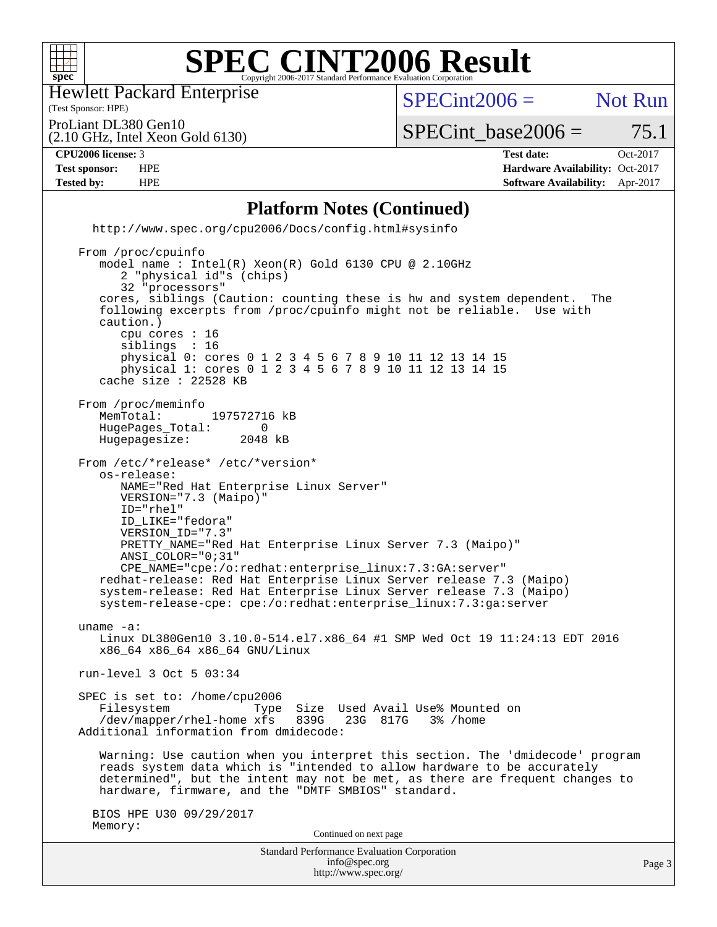

Hewlett Packard Enterprise

(2.10 GHz, Intel Xeon Gold 6130)

(Test Sponsor: HPE)

 $SPECint2006 =$  Not Run

ProLiant DL380 Gen10

 $SPECTnt\_base2006 = 75.1$ 

#### **[CPU2006 license:](http://www.spec.org/auto/cpu2006/Docs/result-fields.html#CPU2006license)** 3 **[Test date:](http://www.spec.org/auto/cpu2006/Docs/result-fields.html#Testdate)** Oct-2017

**[Test sponsor:](http://www.spec.org/auto/cpu2006/Docs/result-fields.html#Testsponsor)** HPE **[Hardware Availability:](http://www.spec.org/auto/cpu2006/Docs/result-fields.html#HardwareAvailability)** Oct-2017 **[Tested by:](http://www.spec.org/auto/cpu2006/Docs/result-fields.html#Testedby)** HPE **[Software Availability:](http://www.spec.org/auto/cpu2006/Docs/result-fields.html#SoftwareAvailability)** Apr-2017

### **[Platform Notes \(Continued\)](http://www.spec.org/auto/cpu2006/Docs/result-fields.html#PlatformNotes)**

 <http://www.spec.org/cpu2006/Docs/config.html#sysinfo> From /proc/cpuinfo model name : Intel(R) Xeon(R) Gold 6130 CPU @ 2.10GHz 2 "physical id"s (chips) 32 "processors" cores, siblings (Caution: counting these is hw and system dependent. The following excerpts from /proc/cpuinfo might not be reliable. Use with caution.) cpu cores : 16 siblings : 16 physical 0: cores 0 1 2 3 4 5 6 7 8 9 10 11 12 13 14 15 physical 1: cores 0 1 2 3 4 5 6 7 8 9 10 11 12 13 14 15 cache size : 22528 KB From /proc/meminfo<br>MemTotal: 197572716 kB HugePages\_Total: 0<br>Hugepagesize: 2048 kB Hugepagesize: From /etc/\*release\* /etc/\*version\* os-release: NAME="Red Hat Enterprise Linux Server" VERSION="7.3 (Maipo)" ID="rhel" ID\_LIKE="fedora" VERSION\_ID="7.3" PRETTY\_NAME="Red Hat Enterprise Linux Server 7.3 (Maipo)" ANSI\_COLOR="0;31" CPE\_NAME="cpe:/o:redhat:enterprise\_linux:7.3:GA:server" redhat-release: Red Hat Enterprise Linux Server release 7.3 (Maipo) system-release: Red Hat Enterprise Linux Server release 7.3 (Maipo) system-release-cpe: cpe:/o:redhat:enterprise\_linux:7.3:ga:server uname -a: Linux DL380Gen10 3.10.0-514.el7.x86\_64 #1 SMP Wed Oct 19 11:24:13 EDT 2016 x86\_64 x86\_64 x86\_64 GNU/Linux run-level 3 Oct 5 03:34 SPEC is set to: /home/cpu2006 Filesystem Type Size Used Avail Use% Mounted on<br>/dev/mapper/rhel-home xfs 839G 23G 817G 3% /home /dev/mapper/rhel-home xfs 839G Additional information from dmidecode: Warning: Use caution when you interpret this section. The 'dmidecode' program reads system data which is "intended to allow hardware to be accurately determined", but the intent may not be met, as there are frequent changes to hardware, firmware, and the "DMTF SMBIOS" standard. BIOS HPE U30 09/29/2017 Memory: Continued on next page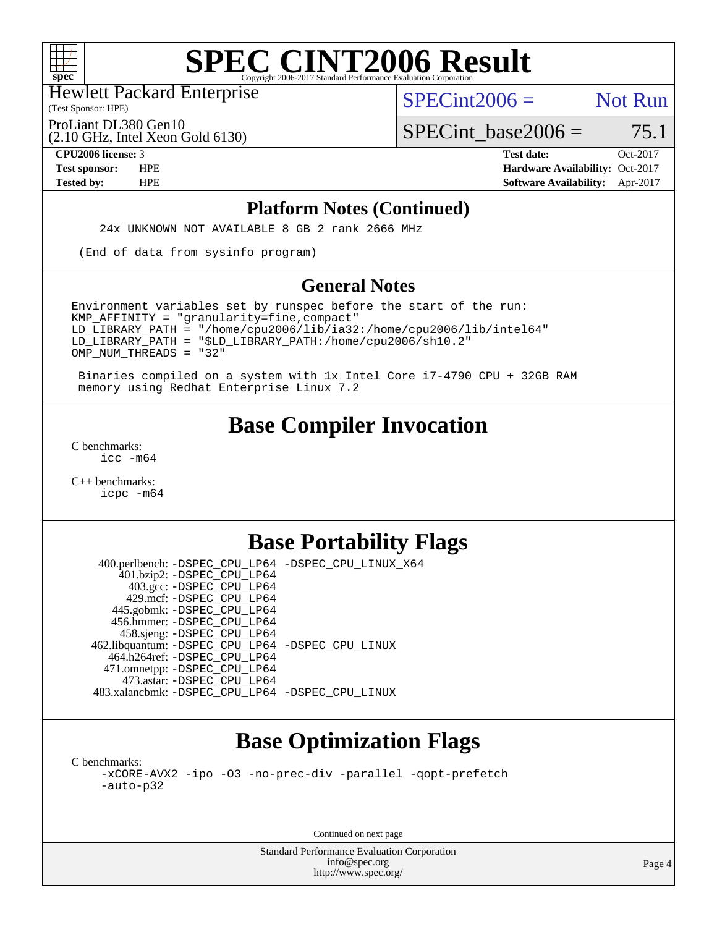

(Test Sponsor: HPE) Hewlett Packard Enterprise

 $SPECint2006 =$  Not Run

ProLiant DL380 Gen10

(2.10 GHz, Intel Xeon Gold 6130)

**[Tested by:](http://www.spec.org/auto/cpu2006/Docs/result-fields.html#Testedby)** HPE **[Software Availability:](http://www.spec.org/auto/cpu2006/Docs/result-fields.html#SoftwareAvailability)** Apr-2017

 $SPECTnt\_base2006 = 75.1$ 

**[CPU2006 license:](http://www.spec.org/auto/cpu2006/Docs/result-fields.html#CPU2006license)** 3 **[Test date:](http://www.spec.org/auto/cpu2006/Docs/result-fields.html#Testdate)** Oct-2017 **[Test sponsor:](http://www.spec.org/auto/cpu2006/Docs/result-fields.html#Testsponsor)** HPE **[Hardware Availability:](http://www.spec.org/auto/cpu2006/Docs/result-fields.html#HardwareAvailability)** Oct-2017

#### **[Platform Notes \(Continued\)](http://www.spec.org/auto/cpu2006/Docs/result-fields.html#PlatformNotes)**

24x UNKNOWN NOT AVAILABLE 8 GB 2 rank 2666 MHz

(End of data from sysinfo program)

### **[General Notes](http://www.spec.org/auto/cpu2006/Docs/result-fields.html#GeneralNotes)**

Environment variables set by runspec before the start of the run:  $KMP$  AFFINITY = "granularity=fine, compact" LD\_LIBRARY\_PATH = "/home/cpu2006/lib/ia32:/home/cpu2006/lib/intel64" LD\_LIBRARY\_PATH = "\$LD\_LIBRARY\_PATH:/home/cpu2006/sh10.2" OMP\_NUM\_THREADS = "32"

 Binaries compiled on a system with 1x Intel Core i7-4790 CPU + 32GB RAM memory using Redhat Enterprise Linux 7.2

## **[Base Compiler Invocation](http://www.spec.org/auto/cpu2006/Docs/result-fields.html#BaseCompilerInvocation)**

[C benchmarks](http://www.spec.org/auto/cpu2006/Docs/result-fields.html#Cbenchmarks): [icc -m64](http://www.spec.org/cpu2006/results/res2017q4/cpu2006-20171017-50284.flags.html#user_CCbase_intel_icc_64bit_bda6cc9af1fdbb0edc3795bac97ada53)

[C++ benchmarks:](http://www.spec.org/auto/cpu2006/Docs/result-fields.html#CXXbenchmarks) [icpc -m64](http://www.spec.org/cpu2006/results/res2017q4/cpu2006-20171017-50284.flags.html#user_CXXbase_intel_icpc_64bit_fc66a5337ce925472a5c54ad6a0de310)

### **[Base Portability Flags](http://www.spec.org/auto/cpu2006/Docs/result-fields.html#BasePortabilityFlags)**

 400.perlbench: [-DSPEC\\_CPU\\_LP64](http://www.spec.org/cpu2006/results/res2017q4/cpu2006-20171017-50284.flags.html#b400.perlbench_basePORTABILITY_DSPEC_CPU_LP64) [-DSPEC\\_CPU\\_LINUX\\_X64](http://www.spec.org/cpu2006/results/res2017q4/cpu2006-20171017-50284.flags.html#b400.perlbench_baseCPORTABILITY_DSPEC_CPU_LINUX_X64) 401.bzip2: [-DSPEC\\_CPU\\_LP64](http://www.spec.org/cpu2006/results/res2017q4/cpu2006-20171017-50284.flags.html#suite_basePORTABILITY401_bzip2_DSPEC_CPU_LP64) 403.gcc: [-DSPEC\\_CPU\\_LP64](http://www.spec.org/cpu2006/results/res2017q4/cpu2006-20171017-50284.flags.html#suite_basePORTABILITY403_gcc_DSPEC_CPU_LP64) 429.mcf: [-DSPEC\\_CPU\\_LP64](http://www.spec.org/cpu2006/results/res2017q4/cpu2006-20171017-50284.flags.html#suite_basePORTABILITY429_mcf_DSPEC_CPU_LP64) 445.gobmk: [-DSPEC\\_CPU\\_LP64](http://www.spec.org/cpu2006/results/res2017q4/cpu2006-20171017-50284.flags.html#suite_basePORTABILITY445_gobmk_DSPEC_CPU_LP64) 456.hmmer: [-DSPEC\\_CPU\\_LP64](http://www.spec.org/cpu2006/results/res2017q4/cpu2006-20171017-50284.flags.html#suite_basePORTABILITY456_hmmer_DSPEC_CPU_LP64) 458.sjeng: [-DSPEC\\_CPU\\_LP64](http://www.spec.org/cpu2006/results/res2017q4/cpu2006-20171017-50284.flags.html#suite_basePORTABILITY458_sjeng_DSPEC_CPU_LP64) 462.libquantum: [-DSPEC\\_CPU\\_LP64](http://www.spec.org/cpu2006/results/res2017q4/cpu2006-20171017-50284.flags.html#suite_basePORTABILITY462_libquantum_DSPEC_CPU_LP64) [-DSPEC\\_CPU\\_LINUX](http://www.spec.org/cpu2006/results/res2017q4/cpu2006-20171017-50284.flags.html#b462.libquantum_baseCPORTABILITY_DSPEC_CPU_LINUX) 464.h264ref: [-DSPEC\\_CPU\\_LP64](http://www.spec.org/cpu2006/results/res2017q4/cpu2006-20171017-50284.flags.html#suite_basePORTABILITY464_h264ref_DSPEC_CPU_LP64) 471.omnetpp: [-DSPEC\\_CPU\\_LP64](http://www.spec.org/cpu2006/results/res2017q4/cpu2006-20171017-50284.flags.html#suite_basePORTABILITY471_omnetpp_DSPEC_CPU_LP64) 473.astar: [-DSPEC\\_CPU\\_LP64](http://www.spec.org/cpu2006/results/res2017q4/cpu2006-20171017-50284.flags.html#suite_basePORTABILITY473_astar_DSPEC_CPU_LP64) 483.xalancbmk: [-DSPEC\\_CPU\\_LP64](http://www.spec.org/cpu2006/results/res2017q4/cpu2006-20171017-50284.flags.html#suite_basePORTABILITY483_xalancbmk_DSPEC_CPU_LP64) [-DSPEC\\_CPU\\_LINUX](http://www.spec.org/cpu2006/results/res2017q4/cpu2006-20171017-50284.flags.html#b483.xalancbmk_baseCXXPORTABILITY_DSPEC_CPU_LINUX)

## **[Base Optimization Flags](http://www.spec.org/auto/cpu2006/Docs/result-fields.html#BaseOptimizationFlags)**

[C benchmarks](http://www.spec.org/auto/cpu2006/Docs/result-fields.html#Cbenchmarks): [-xCORE-AVX2](http://www.spec.org/cpu2006/results/res2017q4/cpu2006-20171017-50284.flags.html#user_CCbase_f-xCORE-AVX2) [-ipo](http://www.spec.org/cpu2006/results/res2017q4/cpu2006-20171017-50284.flags.html#user_CCbase_f-ipo) [-O3](http://www.spec.org/cpu2006/results/res2017q4/cpu2006-20171017-50284.flags.html#user_CCbase_f-O3) [-no-prec-div](http://www.spec.org/cpu2006/results/res2017q4/cpu2006-20171017-50284.flags.html#user_CCbase_f-no-prec-div) [-parallel](http://www.spec.org/cpu2006/results/res2017q4/cpu2006-20171017-50284.flags.html#user_CCbase_f-parallel) [-qopt-prefetch](http://www.spec.org/cpu2006/results/res2017q4/cpu2006-20171017-50284.flags.html#user_CCbase_f-qopt-prefetch) [-auto-p32](http://www.spec.org/cpu2006/results/res2017q4/cpu2006-20171017-50284.flags.html#user_CCbase_f-auto-p32)

Continued on next page